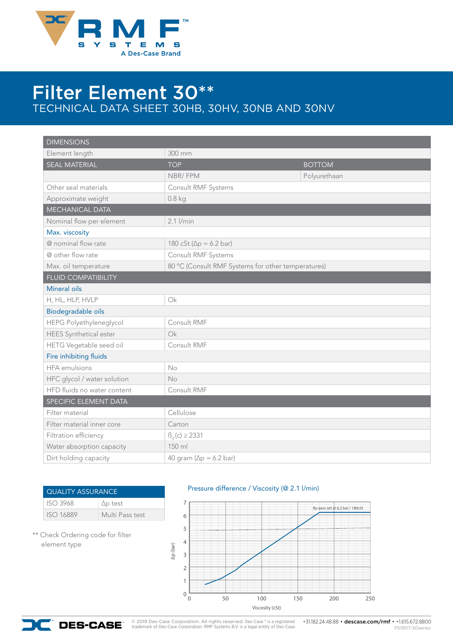

## Filter Element 30\*\* TECHNICAL DATA SHEET 30HB, 30HV, 30NB AND 30NV

| <b>DIMENSIONS</b>             |                                 |                                                    |  |  |
|-------------------------------|---------------------------------|----------------------------------------------------|--|--|
| Element length                | 300 mm                          |                                                    |  |  |
| <b>SEAL MATERIAL</b>          | <b>TOP</b>                      | <b>BOTTOM</b>                                      |  |  |
|                               | NBR/FPM                         | Polyurethaan                                       |  |  |
| Other seal materials          | Consult RMF Systems             |                                                    |  |  |
| Approximate weight            | $0.8$ kg                        |                                                    |  |  |
| <b>MECHANICAL DATA</b>        |                                 |                                                    |  |  |
| Nominal flow per element      | $2.1$ $I/min$                   |                                                    |  |  |
| Max. viscosity                |                                 |                                                    |  |  |
| @ nominal flow rate           | 180 cSt.( $\Delta p = 6.2$ bar) |                                                    |  |  |
| @ other flow rate             | Consult RMF Systems             |                                                    |  |  |
| Max. oil temperature          |                                 | 80 °C (Consult RMF Systems for other temperatures) |  |  |
| <b>FLUID COMPATIBILITY</b>    |                                 |                                                    |  |  |
| Mineral oils                  |                                 |                                                    |  |  |
| H, HL, HLP, HVLP              | $\bigcirc$ k                    |                                                    |  |  |
| Biodegradable oils            |                                 |                                                    |  |  |
| HEPG Polyethyleneglycol       | Consult RMF                     |                                                    |  |  |
| <b>HEES</b> Synthetical ester | Ok                              |                                                    |  |  |
| HETG Vegetable seed oil       | Consult RMF                     |                                                    |  |  |
| Fire inhibiting fluids        |                                 |                                                    |  |  |
| <b>HFA</b> emulsions          | No                              |                                                    |  |  |
| HFC glycol / water solution   | No                              |                                                    |  |  |
| HFD fluids no water content   | Consult RMF                     |                                                    |  |  |
| SPECIFIC ELEMENT DATA         |                                 |                                                    |  |  |
| Filter material               | Cellulose                       |                                                    |  |  |
| Filter material inner core    | Carton                          |                                                    |  |  |
| Filtration efficiency         | $\beta_{4}$ (c) $\geq$ 2331     |                                                    |  |  |
| Water absorption capacity     | 150 ml                          |                                                    |  |  |
| Dirt holding capacity         | 40 gram ( $\Delta p = 6.2$ bar) |                                                    |  |  |

| <b>QUALITY ASSURANCE</b> |                 |
|--------------------------|-----------------|
| <b>ISO 3968</b>          | $\Delta p$ test |
| <b>ISO 16889</b>         | Multi Pass test |

\*\* Check Ordering code for filter element type

Pressure difference / Viscosity (@ 2.1 l/min)